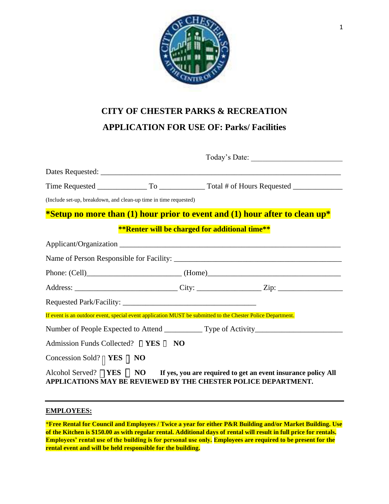

# **CITY OF CHESTER PARKS & RECREATION APPLICATION FOR USE OF: Parks/ Facilities**

| (Include set-up, breakdown, and clean-up time in time requested)                                                                                                     |  |  |  |  |
|----------------------------------------------------------------------------------------------------------------------------------------------------------------------|--|--|--|--|
| *Setup no more than (1) hour prior to event and (1) hour after to clean up*                                                                                          |  |  |  |  |
| <b>**Renter will be charged for additional time**</b>                                                                                                                |  |  |  |  |
|                                                                                                                                                                      |  |  |  |  |
|                                                                                                                                                                      |  |  |  |  |
|                                                                                                                                                                      |  |  |  |  |
|                                                                                                                                                                      |  |  |  |  |
|                                                                                                                                                                      |  |  |  |  |
| If event is an outdoor event, special event application MUST be submitted to the Chester Police Department.                                                          |  |  |  |  |
|                                                                                                                                                                      |  |  |  |  |
| Admission Funds Collected? [ YES [ NO                                                                                                                                |  |  |  |  |
| Concession Sold? $\parallel$ YES $\parallel$ NO                                                                                                                      |  |  |  |  |
| Alcohol Served? $\Box$ YES $\Box$ NO If yes, you are required to get an event insurance policy All<br>APPLICATIONS MAY BE REVIEWED BY THE CHESTER POLICE DEPARTMENT. |  |  |  |  |

## **EMPLOYEES:**

<sup>\*</sup>**Free Rental for Council and Employees / Twice a year for either P&R Building and/or Market Building. Use of the Kitchen is \$150.00 as with regular rental. Additional days of rental will result in full price for rentals. Employees' rental use of the building is for personal use only. Employees are required to be present for the rental event and will be held responsible for the building.**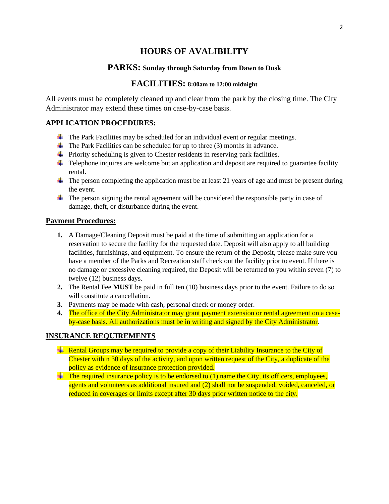# **HOURS OF AVALIBILITY**

## **PARKS: Sunday through Saturday from Dawn to Dusk**

## **FACILITIES: 8:00am to 12:00 midnight**

All events must be completely cleaned up and clear from the park by the closing time. The City Administrator may extend these times on case-by-case basis.

## **APPLICATION PROCEDURES:**

- $\ddot{\phantom{1}}$  The Park Facilities may be scheduled for an individual event or regular meetings.
- $\ddot{\text{I}}$  The Park Facilities can be scheduled for up to three (3) months in advance.
- $\overline{\phantom{a}}$  Priority scheduling is given to Chester residents in reserving park facilities.
- $\ddot{\phantom{a}}$  Telephone inquires are welcome but an application and deposit are required to guarantee facility rental.
- $\ddot{\phantom{a}}$  The person completing the application must be at least 21 years of age and must be present during the event.
- $\downarrow$  The person signing the rental agreement will be considered the responsible party in case of damage, theft, or disturbance during the event.

#### **Payment Procedures:**

- **1.** A Damage/Cleaning Deposit must be paid at the time of submitting an application for a reservation to secure the facility for the requested date. Deposit will also apply to all building facilities, furnishings, and equipment. To ensure the return of the Deposit, please make sure you have a member of the Parks and Recreation staff check out the facility prior to event. If there is no damage or excessive cleaning required, the Deposit will be returned to you within seven (7) to twelve (12) business days.
- **2.** The Rental Fee **MUST** be paid in full ten (10) business days prior to the event. Failure to do so will constitute a cancellation.
- **3.** Payments may be made with cash, personal check or money order.
- **4.** The office of the City Administrator may grant payment extension or rental agreement on a caseby-case basis. All authorizations must be in writing and signed by the City Administrator.

#### **INSURANCE REQUIREMENTS**

- $\frac{1}{\sqrt{2}}$  Rental Groups may be required to provide a copy of their Liability Insurance to the City of Chester within 30 days of the activity, and upon written request of the City, a duplicate of the policy as evidence of insurance protection provided.
- $\pm$  The required insurance policy is to be endorsed to (1) name the City, its officers, employees, agents and volunteers as additional insured and (2) shall not be suspended, voided, canceled, or reduced in coverages or limits except after 30 days prior written notice to the city.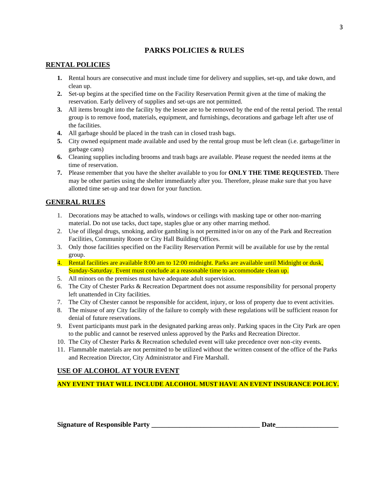## **PARKS POLICIES & RULES**

#### **RENTAL POLICIES**

- **1.** Rental hours are consecutive and must include time for delivery and supplies, set-up, and take down, and clean up.
- **2.** Set-up begins at the specified time on the Facility Reservation Permit given at the time of making the reservation. Early delivery of supplies and set-ups are not permitted.
- **3.** All items brought into the facility by the lessee are to be removed by the end of the rental period. The rental group is to remove food, materials, equipment, and furnishings, decorations and garbage left after use of the facilities.
- **4.** All garbage should be placed in the trash can in closed trash bags.
- **5.** City owned equipment made available and used by the rental group must be left clean (i.e. garbage/litter in garbage cans)
- **6.** Cleaning supplies including brooms and trash bags are available. Please request the needed items at the time of reservation.
- **7.** Please remember that you have the shelter available to you for **ONLY THE TIME REQUESTED.** There may be other parties using the shelter immediately after you. Therefore, please make sure that you have allotted time set-up and tear down for your function.

#### **GENERAL RULES**

- 1. Decorations may be attached to walls, windows or ceilings with masking tape or other non-marring material. Do not use tacks, duct tape, staples glue or any other marring method.
- 2. Use of illegal drugs, smoking, and/or gambling is not permitted in/or on any of the Park and Recreation Facilities, Community Room or City Hall Building Offices.
- 3. Only those facilities specified on the Facility Reservation Permit will be available for use by the rental group.
- 4. Rental facilities are available 8:00 am to 12:00 midnight. Parks are available until Midnight or dusk, Sunday-Saturday. Event must conclude at a reasonable time to accommodate clean up.
- 5. All minors on the premises must have adequate adult supervision.
- 6. The City of Chester Parks & Recreation Department does not assume responsibility for personal property left unattended in City facilities.
- 7. The City of Chester cannot be responsible for accident, injury, or loss of property due to event activities.
- 8. The misuse of any City facility of the failure to comply with these regulations will be sufficient reason for denial of future reservations.
- 9. Event participants must park in the designated parking areas only. Parking spaces in the City Park are open to the public and cannot be reserved unless approved by the Parks and Recreation Director.
- 10. The City of Chester Parks & Recreation scheduled event will take precedence over non-city events.
- 11. Flammable materials are not permitted to be utilized without the written consent of the office of the Parks and Recreation Director, City Administrator and Fire Marshall.

#### **USE OF ALCOHOL AT YOUR EVENT**

**ANY EVENT THAT WILL INCLUDE ALCOHOL MUST HAVE AN EVENT INSURANCE POLICY.**

**Signature of Responsible Party the contract of Security Algebra 2013**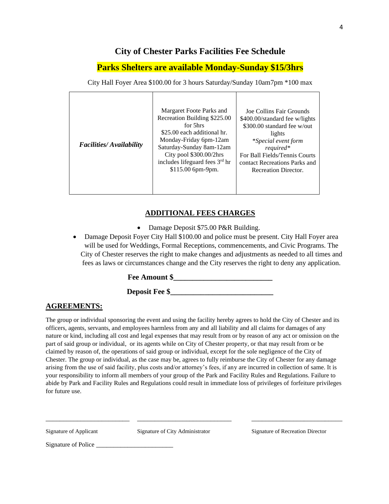# **City of Chester Parks Facilities Fee Schedule**

# **Parks Shelters are available Monday-Sunday \$15/3hrs**

City Hall Foyer Area \$100.00 for 3 hours Saturday/Sunday 10am7pm \*100 max

| \$25.00 each additional hr.<br>lights<br>Monday-Friday 6pm-12am<br>*Special event form<br><b>Facilities/Availability</b><br>Saturday-Sunday 8am-12am<br>$required*$<br>City pool \$300.00/2hrs<br>For Ball Fields/Tennis Courts<br>includes lifeguard fees 3rd hr<br>$$115.00$ 6pm-9pm.<br><b>Recreation Director.</b> |  | Margaret Foote Parks and<br>Recreation Building \$225.00<br>for 5hrs | Joe Collins Fair Grounds<br>\$400.00/standard fee w/lights<br>\$300.00 standard fee w/out<br>contact Recreations Parks and |
|------------------------------------------------------------------------------------------------------------------------------------------------------------------------------------------------------------------------------------------------------------------------------------------------------------------------|--|----------------------------------------------------------------------|----------------------------------------------------------------------------------------------------------------------------|
|------------------------------------------------------------------------------------------------------------------------------------------------------------------------------------------------------------------------------------------------------------------------------------------------------------------------|--|----------------------------------------------------------------------|----------------------------------------------------------------------------------------------------------------------------|

# **ADDITIONAL FEES CHARGES**

- Damage Deposit \$75.00 P&R Building.
- Damage Deposit Foyer City Hall \$100.00 and police must be present. City Hall Foyer area will be used for Weddings, Formal Receptions, commencements, and Civic Programs. The City of Chester reserves the right to make changes and adjustments as needed to all times and fees as laws or circumstances change and the City reserves the right to deny any application.

Fee Amount \$

**Deposit Fee \$** 

# **AGREEMENTS:**

The group or individual sponsoring the event and using the facility hereby agrees to hold the City of Chester and its officers, agents, servants, and employees harmless from any and all liability and all claims for damages of any nature or kind, including all cost and legal expenses that may result from or by reason of any act or omission on the part of said group or individual, or its agents while on City of Chester property, or that may result from or be claimed by reason of, the operations of said group or individual, except for the sole negligence of the City of Chester. The group or individual, as the case may be, agrees to fully reimburse the City of Chester for any damage arising from the use of said facility, plus costs and/or attorney's fees, if any are incurred in collection of same. It is your responsibility to inform all members of your group of the Park and Facility Rules and Regulations. Failure to abide by Park and Facility Rules and Regulations could result in immediate loss of privileges of forfeiture privileges for future use.

\_\_\_\_\_\_\_\_\_\_\_\_\_\_\_\_\_\_\_\_\_\_\_\_ \_\_\_\_\_\_\_\_\_\_\_\_\_\_\_\_\_\_\_\_\_\_\_\_\_\_\_ \_\_\_\_\_\_\_\_\_\_\_\_\_\_\_\_\_\_\_\_\_\_\_\_\_\_

Signature of Applicant Signature of City Administrator Signature of Recreation Director

Signature of Police \_\_\_\_\_\_\_\_\_\_\_\_\_\_\_\_\_\_\_\_\_\_